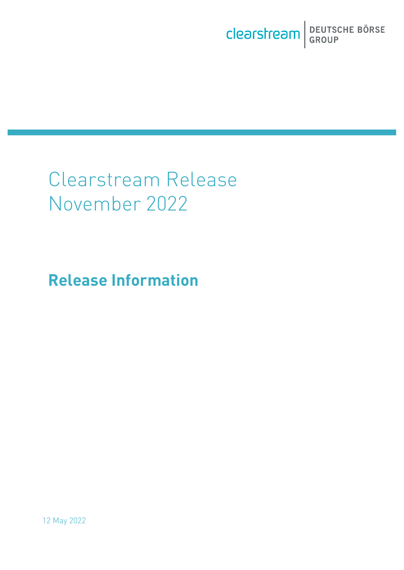# Clearstream Release November 2022

**Release Information**

12 May 2022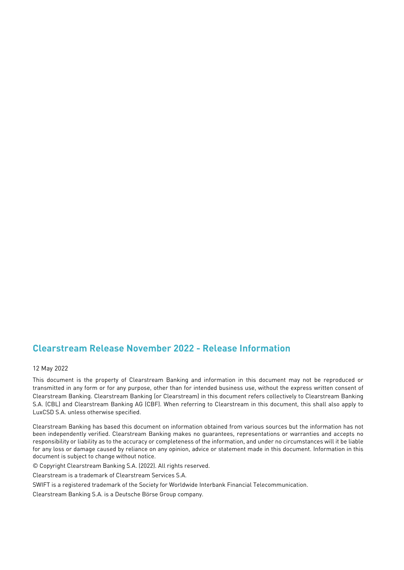#### **Clearstream Release November 2022 - Release Information**

#### 12 May 2022

This document is the property of Clearstream Banking and information in this document may not be reproduced or transmitted in any form or for any purpose, other than for intended business use, without the express written consent of Clearstream Banking. Clearstream Banking (or Clearstream) in this document refers collectively to Clearstream Banking S.A. (CBL) and Clearstream Banking AG (CBF). When referring to Clearstream in this document, this shall also apply to LuxCSD S.A. unless otherwise specified.

Clearstream Banking has based this document on information obtained from various sources but the information has not been independently verified. Clearstream Banking makes no guarantees, representations or warranties and accepts no responsibility or liability as to the accuracy or completeness of the information, and under no circumstances will it be liable for any loss or damage caused by reliance on any opinion, advice or statement made in this document. Information in this document is subject to change without notice.

© Copyright Clearstream Banking S.A. (2022). All rights reserved.

Clearstream is a trademark of Clearstream Services S.A.

SWIFT is a registered trademark of the Society for Worldwide Interbank Financial Telecommunication.

Clearstream Banking S.A. is a Deutsche Börse Group company.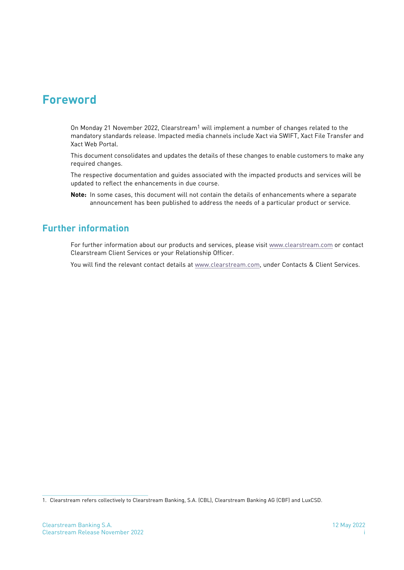### **Foreword**

On Monday 21 November 2022, Clearstream<sup>1</sup> will implement a number of changes related to the mandatory standards release. Impacted media channels include Xact via SWIFT, Xact File Transfer and Xact Web Portal.

This document consolidates and updates the details of these changes to enable customers to make any required changes.

The respective documentation and guides associated with the impacted products and services will be updated to reflect the enhancements in due course.

**Note:** In some cases, this document will not contain the details of enhancements where a separate announcement has been published to address the needs of a particular product or service.

#### **Further information**

For further information about our products and services, please visit [www.clearstream.com](http://www.clearstream.com) or contact Clearstream Client Services or your Relationship Officer.

You will find the relevant contact details at [www.clearstream.com,](http://www.clearstream.com/ci/dispatch/en/subcat/7PMJCA223MMIS) under Contacts & Client Services.

<sup>1.</sup> Clearstream refers collectively to Clearstream Banking, S.A. (CBL), Clearstream Banking AG (CBF) and LuxCSD.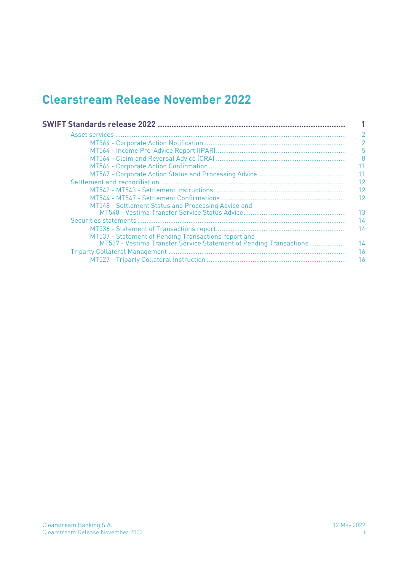### **Clearstream Release November 2022**

|                                                                    | $\overline{2}$ |
|--------------------------------------------------------------------|----------------|
|                                                                    | 5              |
|                                                                    | 8              |
|                                                                    | -11            |
|                                                                    | 11             |
|                                                                    | 12             |
|                                                                    | 12             |
|                                                                    | 12             |
| MT548 - Settlement Status and Processing Advice and                |                |
|                                                                    | 13             |
|                                                                    | 14             |
|                                                                    | 14             |
| MT537 - Statement of Pending Transactions report and               |                |
| MT537 - Vestima Transfer Service Statement of Pending Transactions | 14             |
|                                                                    | 16             |
|                                                                    | 16             |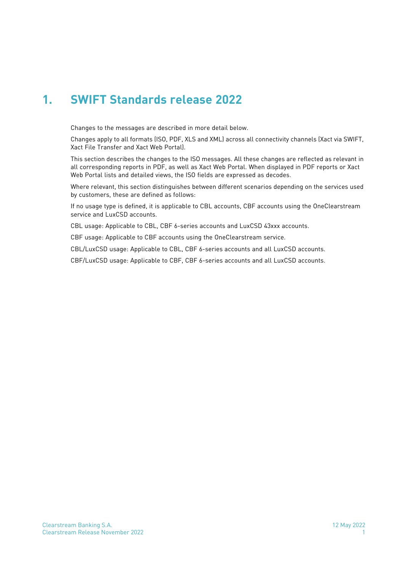### <span id="page-4-0"></span>**1. SWIFT Standards release 2022**

Changes to the messages are described in more detail below.

Changes apply to all formats (ISO, PDF, XLS and XML) across all connectivity channels (Xact via SWIFT, Xact File Transfer and Xact Web Portal).

This section describes the changes to the ISO messages. All these changes are reflected as relevant in all corresponding reports in PDF, as well as Xact Web Portal. When displayed in PDF reports or Xact Web Portal lists and detailed views, the ISO fields are expressed as decodes.

Where relevant, this section distinguishes between different scenarios depending on the services used by customers, these are defined as follows:

If no usage type is defined, it is applicable to CBL accounts, CBF accounts using the OneClearstream service and LuxCSD accounts.

CBL usage: Applicable to CBL, CBF 6-series accounts and LuxCSD 43xxx accounts.

CBF usage: Applicable to CBF accounts using the OneClearstream service.

CBL/LuxCSD usage: Applicable to CBL, CBF 6-series accounts and all LuxCSD accounts.

CBF/LuxCSD usage: Applicable to CBF, CBF 6-series accounts and all LuxCSD accounts.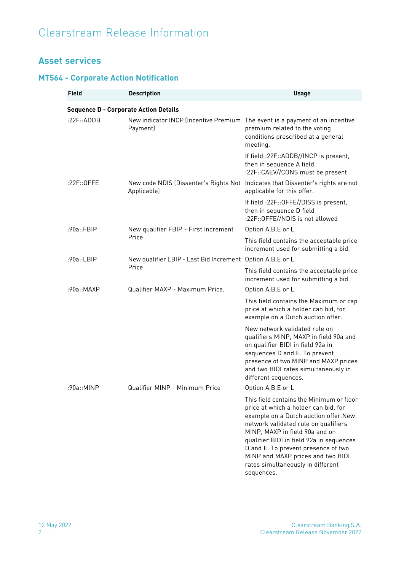### <span id="page-5-0"></span>**Asset services**

#### <span id="page-5-1"></span>**MT564 - Corporate Action Notification**

| <b>Field</b>                                 | <b>Description</b>                                                                       | <b>Usage</b>                                                                                                                                                                                                                                                                                                                                                                   |
|----------------------------------------------|------------------------------------------------------------------------------------------|--------------------------------------------------------------------------------------------------------------------------------------------------------------------------------------------------------------------------------------------------------------------------------------------------------------------------------------------------------------------------------|
| <b>Sequence D - Corporate Action Details</b> |                                                                                          |                                                                                                                                                                                                                                                                                                                                                                                |
| :22F::ADDB                                   | New indicator INCP (Incentive Premium The event is a payment of an incentive<br>Payment) | premium related to the voting<br>conditions prescribed at a general<br>meeting.                                                                                                                                                                                                                                                                                                |
|                                              |                                                                                          | If field :22F::ADDB//INCP is present,<br>then in sequence A field<br>:22F::CAEV//CONS must be present                                                                                                                                                                                                                                                                          |
| $:22F::0$ FFE                                | Applicable)                                                                              | New code NDIS (Dissenter's Rights Not Indicates that Dissenter's rights are not<br>applicable for this offer.                                                                                                                                                                                                                                                                  |
|                                              |                                                                                          | If field :22F::OFFE//DISS is present,<br>then in sequence D field<br>:22F:: OFFE//NDIS is not allowed                                                                                                                                                                                                                                                                          |
| :90a::FBIP                                   | New qualifier FBIP - First Increment                                                     | Option A,B,E or L                                                                                                                                                                                                                                                                                                                                                              |
|                                              | Price                                                                                    | This field contains the acceptable price<br>increment used for submitting a bid.                                                                                                                                                                                                                                                                                               |
| :90a::LBIP                                   | New qualifier LBIP - Last Bid Increment Option A, B, E or L<br>Price                     |                                                                                                                                                                                                                                                                                                                                                                                |
|                                              |                                                                                          | This field contains the acceptable price<br>increment used for submitting a bid.                                                                                                                                                                                                                                                                                               |
| :90a::MAXP                                   | Qualifier MAXP - Maximum Price.                                                          | Option A,B,E or L                                                                                                                                                                                                                                                                                                                                                              |
|                                              |                                                                                          | This field contains the Maximum or cap<br>price at which a holder can bid, for<br>example on a Dutch auction offer.                                                                                                                                                                                                                                                            |
|                                              |                                                                                          | New network validated rule on<br>qualifiers MINP, MAXP in field 90a and<br>on qualifier BIDI in field 92a in<br>sequences D and E. To prevent<br>presence of two MINP and MAXP prices<br>and two BIDI rates simultaneously in<br>different sequences.                                                                                                                          |
| :90a::MINP                                   | Qualifier MINP - Minimum Price                                                           | Option A, B, E or L                                                                                                                                                                                                                                                                                                                                                            |
|                                              |                                                                                          | This field contains the Minimum or floor<br>price at which a holder can bid, for<br>example on a Dutch auction offer. New<br>network validated rule on qualifiers<br>MINP, MAXP in field 90a and on<br>qualifier BIDI in field 92a in sequences<br>D and E. To prevent presence of two<br>MINP and MAXP prices and two BIDI<br>rates simultaneously in different<br>sequences. |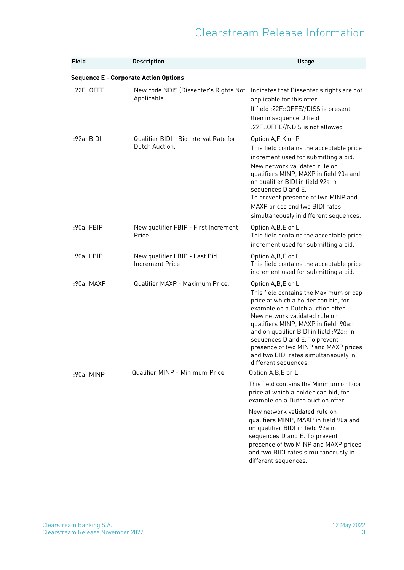| <b>Field</b>                                 | <b>Description</b>                                       | <b>Usage</b>                                                                                                                                                                                                                                                                                                                                                                                            |
|----------------------------------------------|----------------------------------------------------------|---------------------------------------------------------------------------------------------------------------------------------------------------------------------------------------------------------------------------------------------------------------------------------------------------------------------------------------------------------------------------------------------------------|
| <b>Sequence E - Corporate Action Options</b> |                                                          |                                                                                                                                                                                                                                                                                                                                                                                                         |
| :22F::0FFE                                   | New code NDIS (Dissenter's Rights Not<br>Applicable      | Indicates that Dissenter's rights are not<br>applicable for this offer.<br>If field : 22F:: OFFE//DISS is present,<br>then in sequence D field<br>:22F:: OFFE//NDIS is not allowed                                                                                                                                                                                                                      |
| :92a::BIDI                                   | Qualifier BIDI - Bid Interval Rate for<br>Dutch Auction. | Option A,F,K or P<br>This field contains the acceptable price<br>increment used for submitting a bid.<br>New network validated rule on<br>qualifiers MINP, MAXP in field 90a and<br>on qualifier BIDI in field 92a in<br>sequences D and E.<br>To prevent presence of two MINP and<br>MAXP prices and two BIDI rates<br>simultaneously in different sequences.                                          |
| :90a::FBIP                                   | New qualifier FBIP - First Increment<br>Price            | Option A,B,E or L<br>This field contains the acceptable price<br>increment used for submitting a bid.                                                                                                                                                                                                                                                                                                   |
| :90a::LBIP                                   | New qualifier LBIP - Last Bid<br><b>Increment Price</b>  | Option A,B,E or L<br>This field contains the acceptable price<br>increment used for submitting a bid.                                                                                                                                                                                                                                                                                                   |
| :90a::MAXP                                   | Qualifier MAXP - Maximum Price.                          | Option A,B,E or L<br>This field contains the Maximum or cap<br>price at which a holder can bid, for<br>example on a Dutch auction offer.<br>New network validated rule on<br>qualifiers MINP, MAXP in field :90a::<br>and on qualifier BIDI in field :92a:: in<br>sequences D and E. To prevent<br>presence of two MINP and MAXP prices<br>and two BIDI rates simultaneously in<br>different sequences. |
| :90a::MINP                                   | Qualifier MINP - Minimum Price                           | Option A, B, E or L                                                                                                                                                                                                                                                                                                                                                                                     |
|                                              |                                                          | This field contains the Minimum or floor<br>price at which a holder can bid, for<br>example on a Dutch auction offer.                                                                                                                                                                                                                                                                                   |
|                                              |                                                          | New network validated rule on<br>qualifiers MINP, MAXP in field 90a and<br>on qualifier BIDI in field 92a in<br>sequences D and E. To prevent<br>presence of two MINP and MAXP prices<br>and two BIDI rates simultaneously in<br>different sequences.                                                                                                                                                   |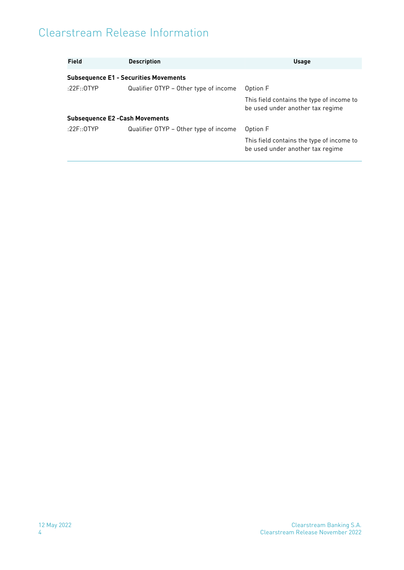| <b>Field</b>                           | <b>Description</b>                           | <b>Usage</b>                                                                  |
|----------------------------------------|----------------------------------------------|-------------------------------------------------------------------------------|
|                                        | <b>Subsequence E1 - Securities Movements</b> |                                                                               |
| :22F:: $0$ TYP                         | Qualifier OTYP - Other type of income        | Option F                                                                      |
|                                        |                                              | This field contains the type of income to<br>be used under another tax regime |
| <b>Subsequence E2 - Cash Movements</b> |                                              |                                                                               |
| :22F::0TYP                             | Qualifier OTYP – Other type of income        | Option F                                                                      |
|                                        |                                              | This field contains the type of income to<br>be used under another tax regime |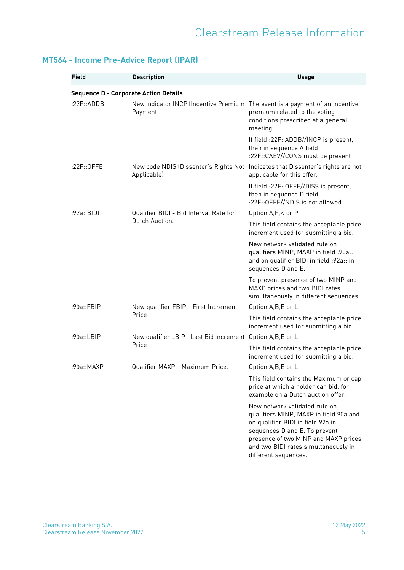| Field                                        | <b>Description</b>                                                                       | <b>Usage</b>                                                                                                                                                                                                                                          |
|----------------------------------------------|------------------------------------------------------------------------------------------|-------------------------------------------------------------------------------------------------------------------------------------------------------------------------------------------------------------------------------------------------------|
|                                              |                                                                                          |                                                                                                                                                                                                                                                       |
| <b>Sequence D - Corporate Action Details</b> |                                                                                          |                                                                                                                                                                                                                                                       |
| :22F::ADDB                                   | New indicator INCP (Incentive Premium The event is a payment of an incentive<br>Payment) | premium related to the voting<br>conditions prescribed at a general<br>meeting.                                                                                                                                                                       |
|                                              |                                                                                          | If field :22F::ADDB//INCP is present,<br>then in sequence A field<br>:22F::CAEV//CONS must be present                                                                                                                                                 |
| $:22F::0$ FFE                                | New code NDIS (Dissenter's Rights Not<br>Applicable)                                     | Indicates that Dissenter's rights are not<br>applicable for this offer.                                                                                                                                                                               |
|                                              |                                                                                          | If field :22F::OFFE//DISS is present,<br>then in sequence D field<br>:22F:: OFFE//NDIS is not allowed                                                                                                                                                 |
| :92a::BIDI                                   | Qualifier BIDI - Bid Interval Rate for                                                   | Option A,F,K or P                                                                                                                                                                                                                                     |
|                                              | Dutch Auction.                                                                           | This field contains the acceptable price<br>increment used for submitting a bid.                                                                                                                                                                      |
|                                              |                                                                                          | New network validated rule on<br>qualifiers MINP, MAXP in field :90a::<br>and on qualifier BIDI in field :92a:: in<br>sequences D and E.                                                                                                              |
|                                              |                                                                                          | To prevent presence of two MINP and<br>MAXP prices and two BIDI rates<br>simultaneously in different sequences.                                                                                                                                       |
| :90a::FBIP                                   | New qualifier FBIP - First Increment                                                     | Option A,B,E or L                                                                                                                                                                                                                                     |
|                                              | Price                                                                                    | This field contains the acceptable price<br>increment used for submitting a bid.                                                                                                                                                                      |
| :90a::LBIP                                   | New qualifier LBIP - Last Bid Increment Option A, B, E or L                              |                                                                                                                                                                                                                                                       |
|                                              | Price                                                                                    | This field contains the acceptable price<br>increment used for submitting a bid.                                                                                                                                                                      |
| :90a::MAXP                                   | Qualifier MAXP - Maximum Price.                                                          | Option A,B,E or L                                                                                                                                                                                                                                     |
|                                              |                                                                                          | This field contains the Maximum or cap<br>price at which a holder can bid, for<br>example on a Dutch auction offer.                                                                                                                                   |
|                                              |                                                                                          | New network validated rule on<br>qualifiers MINP, MAXP in field 90a and<br>on qualifier BIDI in field 92a in<br>sequences D and E. To prevent<br>presence of two MINP and MAXP prices<br>and two BIDI rates simultaneously in<br>different sequences. |

#### <span id="page-8-0"></span>**MT564 - Income Pre-Advice Report (IPAR)**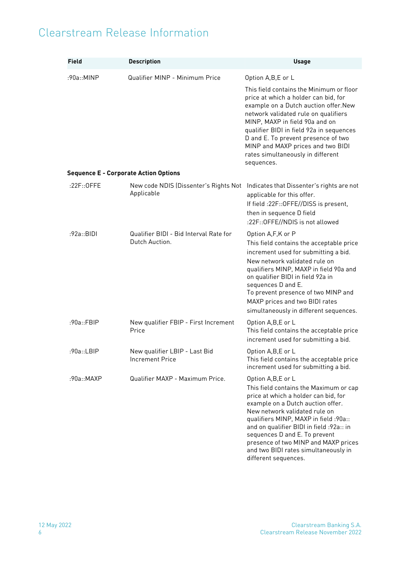| <b>Field</b> | <b>Description</b>                                       | <b>Usage</b>                                                                                                                                                                                                                                                                                                                                                                                             |
|--------------|----------------------------------------------------------|----------------------------------------------------------------------------------------------------------------------------------------------------------------------------------------------------------------------------------------------------------------------------------------------------------------------------------------------------------------------------------------------------------|
| :90a::MINP   | Qualifier MINP - Minimum Price                           | Option A,B,E or L<br>This field contains the Minimum or floor<br>price at which a holder can bid, for<br>example on a Dutch auction offer. New<br>network validated rule on qualifiers<br>MINP, MAXP in field 90a and on<br>qualifier BIDI in field 92a in sequences<br>D and E. To prevent presence of two<br>MINP and MAXP prices and two BIDI<br>rates simultaneously in different<br>sequences.      |
|              | <b>Sequence E - Corporate Action Options</b>             |                                                                                                                                                                                                                                                                                                                                                                                                          |
| :22F::0FFE   | New code NDIS (Dissenter's Rights Not<br>Applicable      | Indicates that Dissenter's rights are not<br>applicable for this offer.<br>If field : 22F:: OFFE//DISS is present,<br>then in sequence D field<br>:22F:: OFFE//NDIS is not allowed                                                                                                                                                                                                                       |
| :92a::BIDI   | Qualifier BIDI - Bid Interval Rate for<br>Dutch Auction. | Option A,F,K or P<br>This field contains the acceptable price<br>increment used for submitting a bid.<br>New network validated rule on<br>qualifiers MINP, MAXP in field 90a and<br>on qualifier BIDI in field 92a in<br>sequences D and E.<br>To prevent presence of two MINP and<br>MAXP prices and two BIDI rates<br>simultaneously in different sequences.                                           |
| :90a::FBIP   | New qualifier FBIP - First Increment<br>Price            | Option A, B, E or L<br>This field contains the acceptable price<br>increment used for submitting a bid.                                                                                                                                                                                                                                                                                                  |
| :90a::LBIP   | New qualifier LBIP - Last Bid<br><b>Increment Price</b>  | Option A, B, E or L<br>This field contains the acceptable price<br>increment used for submitting a bid.                                                                                                                                                                                                                                                                                                  |
| :90a::MAXP   | Qualifier MAXP - Maximum Price.                          | Option A,B,E or L<br>This field contains the Maximum or cap<br>price at which a holder can bid, for<br>example on a Dutch auction offer.<br>New network validated rule on<br>qualifiers MINP, MAXP in field :90a::<br>and on qualifier BIDI in field : 92a:: in<br>sequences D and E. To prevent<br>presence of two MINP and MAXP prices<br>and two BIDI rates simultaneously in<br>different sequences. |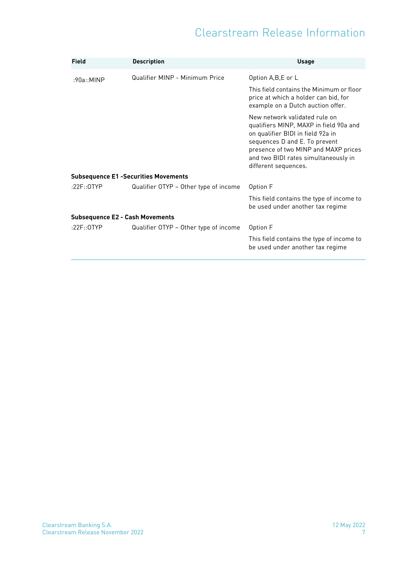| <b>Field</b>                                | <b>Description</b>                    | <b>Usage</b>                                                                                                                                                                                                                                          |
|---------------------------------------------|---------------------------------------|-------------------------------------------------------------------------------------------------------------------------------------------------------------------------------------------------------------------------------------------------------|
| :90a::MINP                                  | Qualifier MINP - Minimum Price        | Option A, B, E or L                                                                                                                                                                                                                                   |
|                                             |                                       | This field contains the Minimum or floor<br>price at which a holder can bid, for<br>example on a Dutch auction offer.                                                                                                                                 |
|                                             |                                       | New network validated rule on<br>qualifiers MINP, MAXP in field 90a and<br>on qualifier BIDI in field 92a in<br>sequences D and E. To prevent<br>presence of two MINP and MAXP prices<br>and two BIDI rates simultaneously in<br>different sequences. |
| <b>Subsequence E1 -Securities Movements</b> |                                       |                                                                                                                                                                                                                                                       |
| :22F::0TYP                                  | Qualifier OTYP - Other type of income | Option F                                                                                                                                                                                                                                              |
|                                             |                                       | This field contains the type of income to<br>be used under another tax regime                                                                                                                                                                         |
| <b>Subsequence E2 - Cash Movements</b>      |                                       |                                                                                                                                                                                                                                                       |
| :22F::0TYP                                  | Qualifier OTYP - Other type of income | Option F                                                                                                                                                                                                                                              |
|                                             |                                       | This field contains the type of income to<br>be used under another tax regime                                                                                                                                                                         |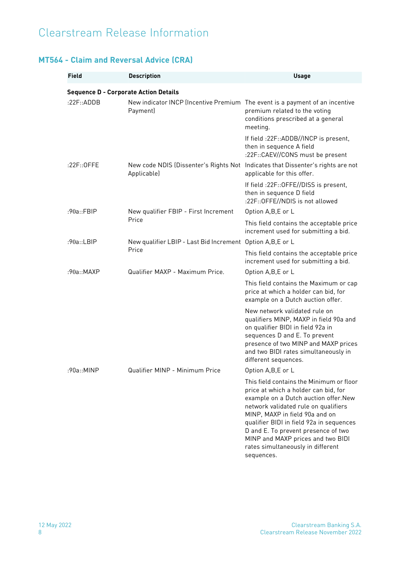#### <span id="page-11-0"></span>**MT564 - Claim and Reversal Advice (CRA)**

| <b>Field</b>                                 | <b>Description</b>                                                                       | <b>Usage</b>                                                                                                                                                                                                                                                                                                                                                                   |
|----------------------------------------------|------------------------------------------------------------------------------------------|--------------------------------------------------------------------------------------------------------------------------------------------------------------------------------------------------------------------------------------------------------------------------------------------------------------------------------------------------------------------------------|
| <b>Sequence D - Corporate Action Details</b> |                                                                                          |                                                                                                                                                                                                                                                                                                                                                                                |
| :22F::ADDB                                   | New indicator INCP (Incentive Premium The event is a payment of an incentive<br>Payment) | premium related to the voting<br>conditions prescribed at a general<br>meeting.                                                                                                                                                                                                                                                                                                |
|                                              |                                                                                          | If field :22F::ADDB//INCP is present,<br>then in sequence A field<br>:22F::CAEV//CONS must be present                                                                                                                                                                                                                                                                          |
| :22F::0FFE                                   | Applicable)                                                                              | New code NDIS (Dissenter's Rights Not Indicates that Dissenter's rights are not<br>applicable for this offer.                                                                                                                                                                                                                                                                  |
|                                              |                                                                                          | If field : 22F:: OFFE//DISS is present,<br>then in sequence D field<br>:22F:: OFFE//NDIS is not allowed                                                                                                                                                                                                                                                                        |
| :90a::FBIP                                   | New qualifier FBIP - First Increment                                                     | Option A, B, E or L                                                                                                                                                                                                                                                                                                                                                            |
|                                              | Price                                                                                    | This field contains the acceptable price<br>increment used for submitting a bid.                                                                                                                                                                                                                                                                                               |
| :90a::LBIP                                   | New qualifier LBIP - Last Bid Increment Option A, B, E or L<br>Price                     |                                                                                                                                                                                                                                                                                                                                                                                |
|                                              |                                                                                          | This field contains the acceptable price<br>increment used for submitting a bid.                                                                                                                                                                                                                                                                                               |
| :90a::MAXP                                   | Qualifier MAXP - Maximum Price.                                                          | Option A,B,E or L                                                                                                                                                                                                                                                                                                                                                              |
|                                              |                                                                                          | This field contains the Maximum or cap<br>price at which a holder can bid, for<br>example on a Dutch auction offer.                                                                                                                                                                                                                                                            |
|                                              |                                                                                          | New network validated rule on<br>qualifiers MINP, MAXP in field 90a and<br>on qualifier BIDI in field 92a in<br>sequences D and E. To prevent<br>presence of two MINP and MAXP prices<br>and two BIDI rates simultaneously in<br>different sequences.                                                                                                                          |
| :90a::MINP                                   | Qualifier MINP - Minimum Price                                                           | Option A, B, E or L                                                                                                                                                                                                                                                                                                                                                            |
|                                              |                                                                                          | This field contains the Minimum or floor<br>price at which a holder can bid, for<br>example on a Dutch auction offer. New<br>network validated rule on qualifiers<br>MINP, MAXP in field 90a and on<br>qualifier BIDI in field 92a in sequences<br>D and E. To prevent presence of two<br>MINP and MAXP prices and two BIDI<br>rates simultaneously in different<br>sequences. |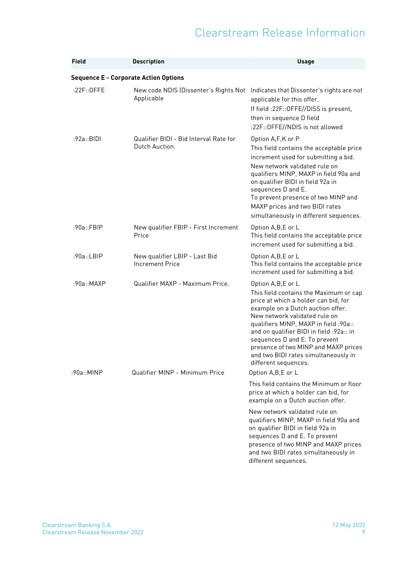| <b>Field</b>                                 | <b>Description</b>                                       | <b>Usage</b>                                                                                                                                                                                                                                                                                                                                                                                               |
|----------------------------------------------|----------------------------------------------------------|------------------------------------------------------------------------------------------------------------------------------------------------------------------------------------------------------------------------------------------------------------------------------------------------------------------------------------------------------------------------------------------------------------|
| <b>Sequence E - Corporate Action Options</b> |                                                          |                                                                                                                                                                                                                                                                                                                                                                                                            |
| :22F:: 0FFE                                  | New code NDIS (Dissenter's Rights Not<br>Applicable      | Indicates that Dissenter's rights are not<br>applicable for this offer.<br>If field : 22F:: OFFE//DISS is present,<br>then in sequence D field<br>:22F:: OFFE//NDIS is not allowed                                                                                                                                                                                                                         |
| :92a::BIDI                                   | Qualifier BIDI - Bid Interval Rate for<br>Dutch Auction. | Option A,F,K or P<br>This field contains the acceptable price<br>increment used for submitting a bid.<br>New network validated rule on<br>qualifiers MINP, MAXP in field 90a and<br>on qualifier BIDI in field 92a in<br>sequences D and E.<br>To prevent presence of two MINP and<br>MAXP prices and two BIDI rates<br>simultaneously in different sequences.                                             |
| :90a::FBIP                                   | New qualifier FBIP - First Increment<br>Price            | Option A, B, E or L<br>This field contains the acceptable price<br>increment used for submitting a bid.                                                                                                                                                                                                                                                                                                    |
| :90a::LBIP                                   | New qualifier LBIP - Last Bid<br><b>Increment Price</b>  | Option A, B, E or L<br>This field contains the acceptable price<br>increment used for submitting a bid.                                                                                                                                                                                                                                                                                                    |
| :90a::MAXP                                   | Qualifier MAXP - Maximum Price.                          | Option A, B, E or L<br>This field contains the Maximum or cap<br>price at which a holder can bid, for<br>example on a Dutch auction offer.<br>New network validated rule on<br>qualifiers MINP, MAXP in field :90a::<br>and on qualifier BIDI in field : 92a:: in<br>sequences D and E. To prevent<br>presence of two MINP and MAXP prices<br>and two BIDI rates simultaneously in<br>different sequences. |
| :90a::MINP                                   | Qualifier MINP - Minimum Price                           | Option A,B,E or L                                                                                                                                                                                                                                                                                                                                                                                          |
|                                              |                                                          | This field contains the Minimum or floor<br>price at which a holder can bid, for<br>example on a Dutch auction offer.                                                                                                                                                                                                                                                                                      |
|                                              |                                                          | New network validated rule on<br>qualifiers MINP, MAXP in field 90a and<br>on qualifier BIDI in field 92a in<br>sequences D and E. To prevent<br>presence of two MINP and MAXP prices<br>and two BIDI rates simultaneously in<br>different sequences.                                                                                                                                                      |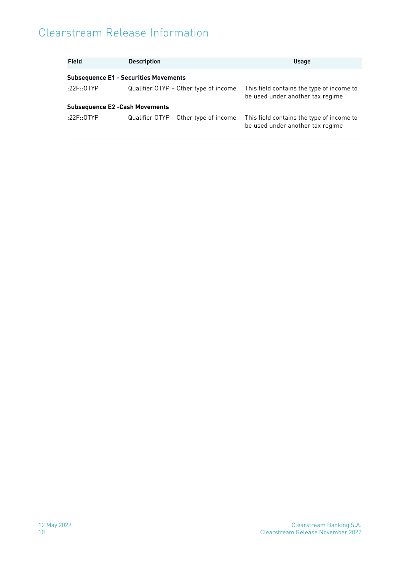| <b>Field</b>                           | <b>Description</b>                           | <b>Usage</b>                                                                  |
|----------------------------------------|----------------------------------------------|-------------------------------------------------------------------------------|
|                                        | <b>Subsequence E1 - Securities Movements</b> |                                                                               |
| :22F:: $0$ TYP                         | Qualifier OTYP - Other type of income        | This field contains the type of income to<br>be used under another tax regime |
| <b>Subsequence E2 - Cash Movements</b> |                                              |                                                                               |
| :22F::0TYP                             | Qualifier OTYP – Other type of income        | This field contains the type of income to<br>be used under another tax regime |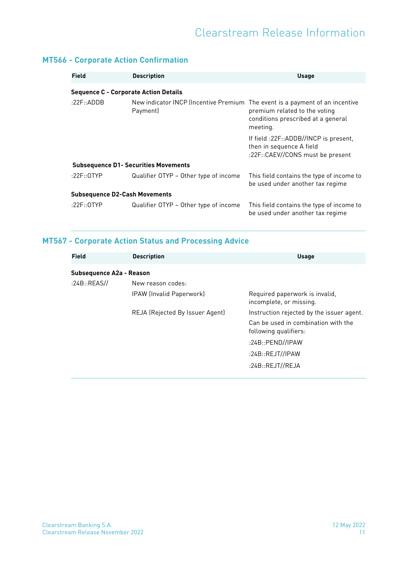#### <span id="page-14-0"></span>**MT566 - Corporate Action Confirmation**

| Field                                        | <b>Description</b>                                                                       | <b>Usage</b>                                                                                          |
|----------------------------------------------|------------------------------------------------------------------------------------------|-------------------------------------------------------------------------------------------------------|
| <b>Sequence C - Corporate Action Details</b> |                                                                                          |                                                                                                       |
| :22 $F$ ::ADDB                               | New indicator INCP (Incentive Premium The event is a payment of an incentive<br>Payment) | premium related to the voting<br>conditions prescribed at a general<br>meeting.                       |
|                                              |                                                                                          | If field :22F::ADDB//INCP is present,<br>then in sequence A field<br>:22F::CAEV//CONS must be present |
|                                              | <b>Subsequence D1- Securities Movements</b>                                              |                                                                                                       |
| :22F::0TYP                                   | Qualifier OTYP - Other type of income                                                    | This field contains the type of income to<br>be used under another tax regime                         |
| <b>Subsequence D2-Cash Movements</b>         |                                                                                          |                                                                                                       |
| :22 $F$ ::0TYP                               | Qualifier OTYP - Other type of income                                                    | This field contains the type of income to<br>be used under another tax regime                         |

#### <span id="page-14-1"></span>**MT567 - Corporate Action Status and Processing Advice**

| <b>Field</b>             | <b>Description</b>              | <b>Usage</b>                                                 |
|--------------------------|---------------------------------|--------------------------------------------------------------|
| Subsequence A2a - Reason |                                 |                                                              |
| :24B::REAS//             | New reason codes:               |                                                              |
|                          | IPAW (Invalid Paperwork)        | Required paperwork is invalid,<br>incomplete, or missing.    |
|                          | REJA (Rejected By Issuer Agent) | Instruction rejected by the issuer agent.                    |
|                          |                                 | Can be used in combination with the<br>following qualifiers: |
|                          |                                 | :24B::PEND//IPAW                                             |
|                          |                                 | :24B::REJT//IPAW                                             |
|                          |                                 | :24B::REJT//REJA                                             |
|                          |                                 |                                                              |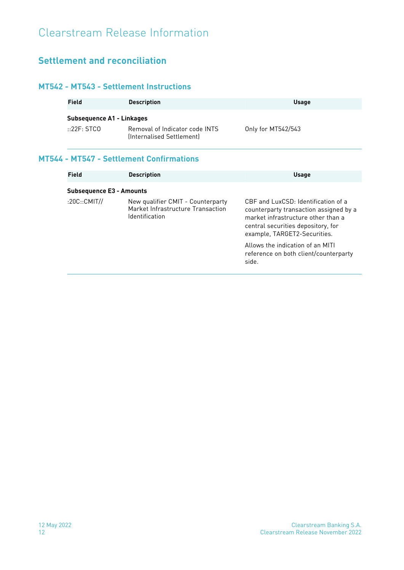### <span id="page-15-0"></span>**Settlement and reconciliation**

#### <span id="page-15-1"></span>**MT542 - MT543 - Settlement Instructions**

| Field                                    | <b>Description</b>                                          | <b>Usage</b>       |
|------------------------------------------|-------------------------------------------------------------|--------------------|
| Subsequence A1 - Linkages<br>::22F: STCO | Removal of Indicator code INTS<br>(Internalised Settlement) | Only for MT542/543 |

#### <span id="page-15-2"></span>**MT544 - MT547 - Settlement Confirmations**

| Field                           | <b>Description</b>                                                                       | <b>Usage</b>                                                                                                                                                                              |
|---------------------------------|------------------------------------------------------------------------------------------|-------------------------------------------------------------------------------------------------------------------------------------------------------------------------------------------|
| <b>Subsequence E3 - Amounts</b> |                                                                                          |                                                                                                                                                                                           |
| :20C::CMIT/J                    | New qualifier CMIT - Counterparty<br>Market Infrastructure Transaction<br>Identification | CBE and LuxCSD: Identification of a<br>counterparty transaction assigned by a<br>market infrastructure other than a<br>central securities depository, for<br>example, TARGET2-Securities. |
|                                 |                                                                                          | Allows the indication of an MITI<br>reference on both client/counterparty<br>side.                                                                                                        |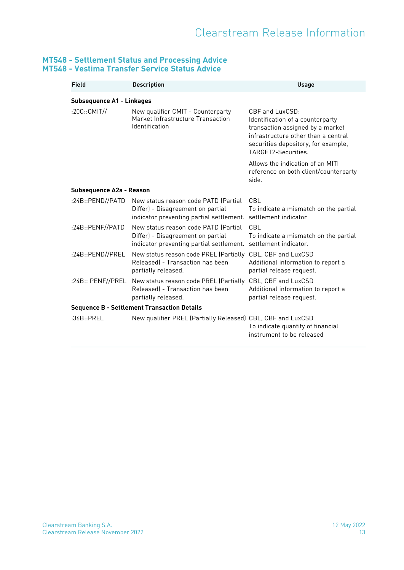#### <span id="page-16-0"></span>**MT548 - Settlement Status and Processing Advice MT548 - Vestima Transfer Service Status Advice**

| Field                                              | <b>Description</b>                                                                                                                         | <b>Usage</b>                                                                                                                                                                                 |  |
|----------------------------------------------------|--------------------------------------------------------------------------------------------------------------------------------------------|----------------------------------------------------------------------------------------------------------------------------------------------------------------------------------------------|--|
|                                                    | <b>Subsequence A1 - Linkages</b>                                                                                                           |                                                                                                                                                                                              |  |
| :20C::CMIT/J                                       | New qualifier CMIT - Counterparty<br>Market Infrastructure Transaction<br>Identification                                                   | CBF and LuxCSD:<br>Identification of a counterparty<br>transaction assigned by a market<br>infrastructure other than a central<br>securities depository, for example,<br>TARGET2-Securities. |  |
|                                                    |                                                                                                                                            | Allows the indication of an MITI<br>reference on both client/counterparty<br>side.                                                                                                           |  |
| Subsequence A2a - Reason                           |                                                                                                                                            |                                                                                                                                                                                              |  |
| :24B::PEND//PATH                                   | New status reason code PATD (Partial<br>Differ) - Disagreement on partial<br>indicator preventing partial settlement. settlement indicator | CBL<br>To indicate a mismatch on the partial                                                                                                                                                 |  |
| :24B::PENF//PATD                                   | New status reason code PATD (Partial<br>Differ) - Disagreement on partial<br>indicator preventing partial settlement.                      | CBL<br>To indicate a mismatch on the partial<br>settlement indicator.                                                                                                                        |  |
| :24B::PEND//PREL                                   | New status reason code PREL (Partially<br>Released) - Transaction has been<br>partially released.                                          | CBL, CBF and LuxCSD<br>Additional information to report a<br>partial release request.                                                                                                        |  |
|                                                    | :24B:: PENF//PREL New status reason code PREL (Partially CBL, CBF and LuxCSD<br>Released) - Transaction has been<br>partially released.    | Additional information to report a<br>partial release request.                                                                                                                               |  |
| <b>Sequence B - Settlement Transaction Details</b> |                                                                                                                                            |                                                                                                                                                                                              |  |
| :36B::PRFI                                         | New qualifier PREL (Partially Released) CBL, CBF and LuxCSD                                                                                | To indicate quantity of financial<br>instrument to be released                                                                                                                               |  |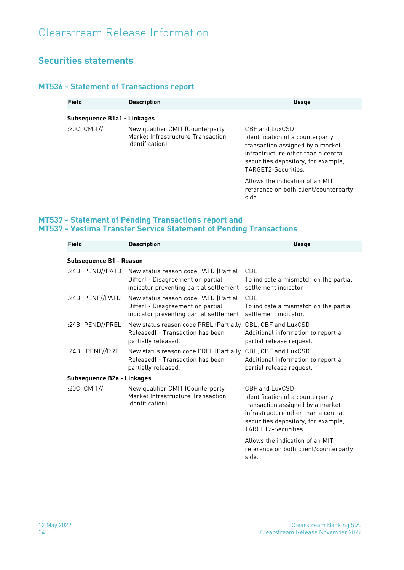#### <span id="page-17-0"></span>**Securities statements**

#### <span id="page-17-1"></span>**MT536 - Statement of Transactions report**

| Field                              | <b>Description</b>                                                                             | <b>Usage</b>                                                                                                                                                                                     |
|------------------------------------|------------------------------------------------------------------------------------------------|--------------------------------------------------------------------------------------------------------------------------------------------------------------------------------------------------|
| <b>Subsequence B1a1 - Linkages</b> |                                                                                                |                                                                                                                                                                                                  |
| :20C::CMIT//                       | New qualifier CMIT (Counterparty<br>Market Infrastructure Transaction<br><i>dentificationl</i> | $CBF$ and $LuxCSD$ :<br>Identification of a counterparty<br>transaction assigned by a market<br>infrastructure other than a central<br>securities depository, for example,<br>TARGFT2-Securities |
|                                    |                                                                                                | Allows the indication of an MITI<br>reference on both client/counterparty<br>side.                                                                                                               |

#### <span id="page-17-2"></span>**MT537 - Statement of Pending Transactions report and MT537 - Vestima Transfer Service Statement of Pending Transactions**

| <b>Field</b>                   | <b>Description</b>                                                                                                                         | <b>Usage</b>                                                                                                                                                                                    |
|--------------------------------|--------------------------------------------------------------------------------------------------------------------------------------------|-------------------------------------------------------------------------------------------------------------------------------------------------------------------------------------------------|
| <b>Subsequence B1 - Reason</b> |                                                                                                                                            |                                                                                                                                                                                                 |
| :24B::PEND//PATD               | New status reason code PATD (Partial<br>Differ) - Disagreement on partial<br>indicator preventing partial settlement. settlement indicator | CBL<br>To indicate a mismatch on the partial                                                                                                                                                    |
| :24B::PENF//PATD               | New status reason code PATD (Partial<br>Differ) - Disagreement on partial<br>indicator preventing partial settlement.                      | CBL<br>To indicate a mismatch on the partial<br>settlement indicator.                                                                                                                           |
| :24B::PEND//PREL               | New status reason code PREL (Partially CBL, CBF and LuxCSD<br>Released) - Transaction has been<br>partially released.                      | Additional information to report a<br>partial release request.                                                                                                                                  |
| :24B::PENF//PREL               | New status reason code PREL (Partially<br>Released) - Transaction has been<br>partially released.                                          | CBL, CBF and LuxCSD<br>Additional information to report a<br>partial release request.                                                                                                           |
| Subsequence B2a - Linkages     |                                                                                                                                            |                                                                                                                                                                                                 |
| :20C::CMIT//                   | New qualifier CMIT (Counterparty<br>Market Infrastructure Transaction<br>Identification]                                                   | $CBF$ and $LuxCSD$<br>Identification of a counterparty<br>transaction assigned by a market<br>infrastructure other than a central<br>securities depository, for example,<br>TARGET2-Securities. |
|                                |                                                                                                                                            | Allows the indication of an MITI<br>reference on both client/counterparty<br>side.                                                                                                              |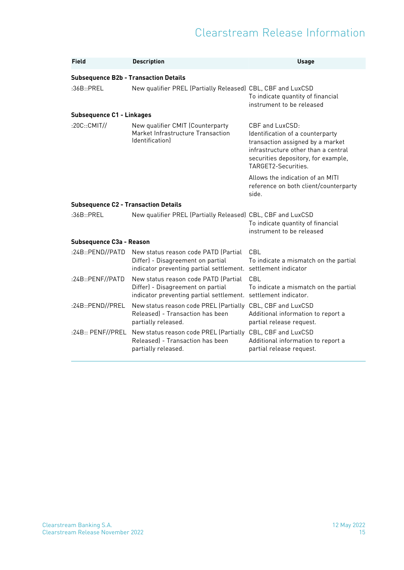| Field                                        | <b>Description</b>                                                                                                                         | <b>Usage</b>                                                                                                                                                                                 |
|----------------------------------------------|--------------------------------------------------------------------------------------------------------------------------------------------|----------------------------------------------------------------------------------------------------------------------------------------------------------------------------------------------|
| <b>Subsequence B2b - Transaction Details</b> |                                                                                                                                            |                                                                                                                                                                                              |
| :36B::PREL                                   | New qualifier PREL (Partially Released) CBL, CBF and LuxCSD                                                                                | To indicate quantity of financial<br>instrument to be released                                                                                                                               |
| <b>Subsequence C1 - Linkages</b>             |                                                                                                                                            |                                                                                                                                                                                              |
| :20C::CMIT/J                                 | New qualifier CMIT (Counterparty<br>Market Infrastructure Transaction<br><i>dentification</i>                                              | CBF and LuxCSD:<br>Identification of a counterparty<br>transaction assigned by a market<br>infrastructure other than a central<br>securities depository, for example,<br>TARGET2-Securities. |
|                                              |                                                                                                                                            | Allows the indication of an MITI<br>reference on both client/counterparty<br>side.                                                                                                           |
| <b>Subsequence C2 - Transaction Details</b>  |                                                                                                                                            |                                                                                                                                                                                              |
| :36B::PRFI                                   | New qualifier PREL (Partially Released) CBL, CBF and LuxCSD                                                                                | To indicate quantity of financial<br>instrument to be released                                                                                                                               |
| Subsequence C3a - Reason                     |                                                                                                                                            |                                                                                                                                                                                              |
| :24B::PEND//PATD                             | New status reason code PATD (Partial<br>Differ) - Disagreement on partial<br>indicator preventing partial settlement. settlement indicator | CBL<br>To indicate a mismatch on the partial                                                                                                                                                 |
| :24B::PENF//PATD                             | New status reason code PATD (Partial<br>Differ) - Disagreement on partial<br>indicator preventing partial settlement.                      | CBL<br>To indicate a mismatch on the partial<br>settlement indicator.                                                                                                                        |
| :24B::PEND//PREL                             | New status reason code PREL (Partially CBL, CBF and LuxCSD<br>Released) - Transaction has been<br>partially released.                      | Additional information to report a<br>partial release request.                                                                                                                               |
| :24B::PENF//PREL                             | New status reason code PREL (Partially CBL, CBF and LuxCSD<br>Released) - Transaction has been<br>partially released.                      | Additional information to report a<br>partial release request.                                                                                                                               |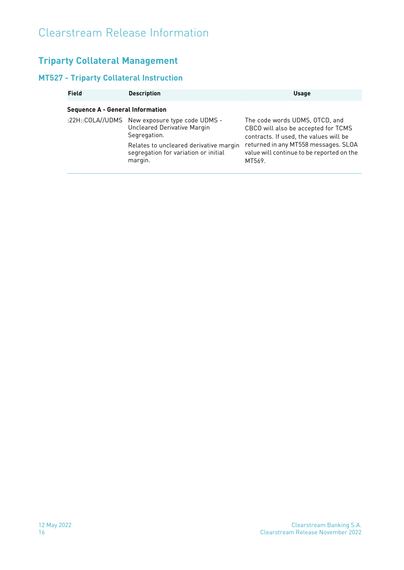### <span id="page-19-0"></span>**Triparty Collateral Management**

#### <span id="page-19-1"></span>**MT527 - Triparty Collateral Instruction**

| <b>Field</b>                            | <b>Description</b>                                                                                                                                                                         | <b>Usage</b>                                                                                                                                                                                                   |
|-----------------------------------------|--------------------------------------------------------------------------------------------------------------------------------------------------------------------------------------------|----------------------------------------------------------------------------------------------------------------------------------------------------------------------------------------------------------------|
| <b>Sequence A - General Information</b> |                                                                                                                                                                                            |                                                                                                                                                                                                                |
|                                         | :22H::COLA//UDMS New exposure type code UDMS -<br>Uncleared Derivative Margin<br>Segregation.<br>Relates to uncleared derivative margin<br>segregation for variation or initial<br>margin. | The code words UDMS, OTCD, and<br>CBCO will also be accepted for TCMS<br>contracts. If used, the values will be<br>returned in any MT558 messages. SLOA<br>value will continue to be reported on the<br>MT569. |